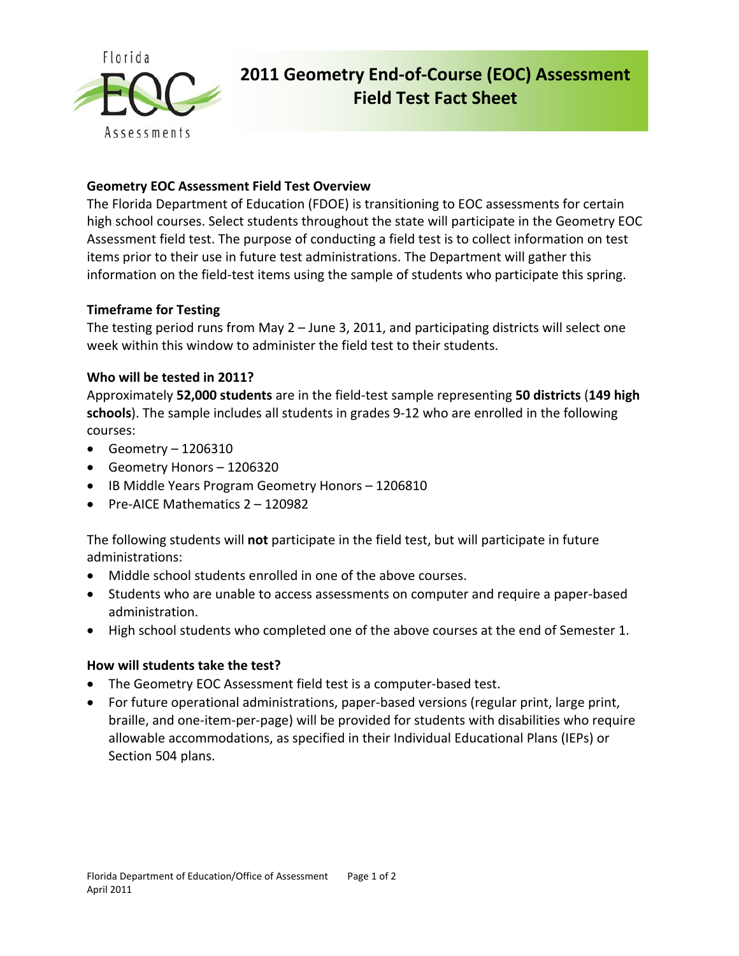

# **2011 Geometry End‐of‐Course (EOC) Assessment Field Test Fact Sheet**

# **Geometry EOC Assessment Field Test Overview**

The Florida Department of Education (FDOE) is transitioning to EOC assessments for certain high school courses. Select students throughout the state will participate in the Geometry EOC Assessment field test. The purpose of conducting a field test is to collect information on test items prior to their use in future test administrations. The Department will gather this information on the field-test items using the sample of students who participate this spring.

# **Timeframe for Testing**

The testing period runs from May 2 – June 3, 2011, and participating districts will select one week within this window to administer the field test to their students.

# **Who will be tested in 2011?**

Approximately **52,000 students** are in the field‐test sample representing **50 districts** (**149 high schools**). The sample includes all students in grades 9‐12 who are enrolled in the following courses:

- $\bullet$  Geometry 1206310
- Geometry Honors 1206320
- IB Middle Years Program Geometry Honors 1206810
- Pre-AICE Mathematics 2 120982

The following students will **not** participate in the field test, but will participate in future administrations:

- Middle school students enrolled in one of the above courses.
- Students who are unable to access assessments on computer and require a paper-based administration.
- High school students who completed one of the above courses at the end of Semester 1.

#### **How will students take the test?**

- The Geometry EOC Assessment field test is a computer‐based test.
- For future operational administrations, paper-based versions (regular print, large print, braille, and one‐item‐per‐page) will be provided for students with disabilities who require allowable accommodations, as specified in their Individual Educational Plans (IEPs) or Section 504 plans.